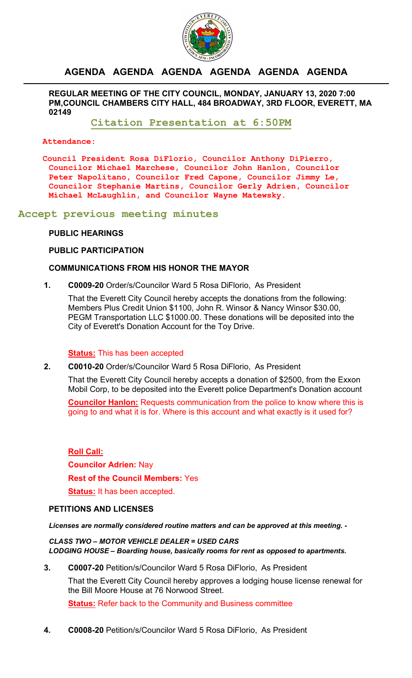

# **AGENDA AGENDA AGENDA AGENDA AGENDA AGENDA**

**REGULAR MEETING OF THE CITY COUNCIL, MONDAY, JANUARY 13, 2020 7:00 PM,COUNCIL CHAMBERS CITY HALL, 484 BROADWAY, 3RD FLOOR, EVERETT, MA 02149**

**Citation Presentation at 6:50PM**

**Attendance:** 

**Council President Rosa DiFlorio, Councilor Anthony DiPierro, Councilor Michael Marchese, Councilor John Hanlon, Councilor Peter Napolitano, Councilor Fred Capone, Councilor Jimmy Le, Councilor Stephanie Martins, Councilor Gerly Adrien, Councilor Michael McLaughlin, and Councilor Wayne Matewsky.**

**Accept previous meeting minutes**

# **PUBLIC HEARINGS**

### **PUBLIC PARTICIPATION**

# **COMMUNICATIONS FROM HIS HONOR THE MAYOR**

**1. C0009-20** Order/s/Councilor Ward 5 Rosa DiFlorio, As President

That the Everett City Council hereby accepts the donations from the following: Members Plus Credit Union \$1100, John R. Winsor & Nancy Winsor \$30.00, PEGM Transportation LLC \$1000.00. These donations will be deposited into the City of Everett's Donation Account for the Toy Drive.

### **Status:** This has been accepted

**2. C0010-20** Order/s/Councilor Ward 5 Rosa DiFlorio, As President

That the Everett City Council hereby accepts a donation of \$2500, from the Exxon Mobil Corp, to be deposited into the Everett police Department's Donation account

**Councilor Hanlon:** Requests communication from the police to know where this is going to and what it is for. Where is this account and what exactly is it used for?

**Roll Call: Councilor Adrien:** Nay **Rest of the Council Members:** Yes **Status:** It has been accepted.

### **PETITIONS AND LICENSES**

*Licenses are normally considered routine matters and can be approved at this meeting. -*

*CLASS TWO – MOTOR VEHICLE DEALER = USED CARS LODGING HOUSE – Boarding house, basically rooms for rent as opposed to apartments.*

**3. C0007-20** Petition/s/Councilor Ward 5 Rosa DiFlorio, As President

That the Everett City Council hereby approves a lodging house license renewal for the Bill Moore House at 76 Norwood Street.

**Status:** Refer back to the Community and Business committee

**4. C0008-20** Petition/s/Councilor Ward 5 Rosa DiFlorio, As President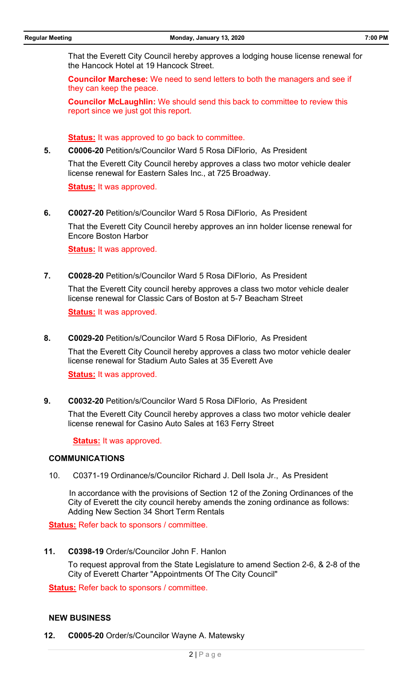That the Everett City Council hereby approves a lodging house license renewal for the Hancock Hotel at 19 Hancock Street.

**Councilor Marchese:** We need to send letters to both the managers and see if they can keep the peace.

**Councilor McLaughlin:** We should send this back to committee to review this report since we just got this report.

**Status:** It was approved to go back to committee.

**5. C0006-20** Petition/s/Councilor Ward 5 Rosa DiFlorio, As President

That the Everett City Council hereby approves a class two motor vehicle dealer license renewal for Eastern Sales Inc., at 725 Broadway.

**Status:** It was approved.

**6. C0027-20** Petition/s/Councilor Ward 5 Rosa DiFlorio, As President

That the Everett City Council hereby approves an inn holder license renewal for Encore Boston Harbor

**Status:** It was approved.

**7. C0028-20** Petition/s/Councilor Ward 5 Rosa DiFlorio, As President

That the Everett City council hereby approves a class two motor vehicle dealer license renewal for Classic Cars of Boston at 5-7 Beacham Street

**Status:** It was approved.

**8. C0029-20** Petition/s/Councilor Ward 5 Rosa DiFlorio, As President

That the Everett City Council hereby approves a class two motor vehicle dealer license renewal for Stadium Auto Sales at 35 Everett Ave

**Status:** It was approved.

**9. C0032-20** Petition/s/Councilor Ward 5 Rosa DiFlorio, As President

That the Everett City Council hereby approves a class two motor vehicle dealer license renewal for Casino Auto Sales at 163 Ferry Street

#### **Status:** It was approved.

#### **COMMUNICATIONS**

10. C0371-19 Ordinance/s/Councilor Richard J. Dell Isola Jr., As President

 In accordance with the provisions of Section 12 of the Zoning Ordinances of the City of Everett the city council hereby amends the zoning ordinance as follows: Adding New Section 34 Short Term Rentals

**Status:** Refer back to sponsors / committee.

**11. C0398-19** Order/s/Councilor John F. Hanlon

To request approval from the State Legislature to amend Section 2-6, & 2-8 of the City of Everett Charter "Appointments Of The City Council"

**Status:** Refer back to sponsors / committee.

#### **NEW BUSINESS**

**12. C0005-20** Order/s/Councilor Wayne A. Matewsky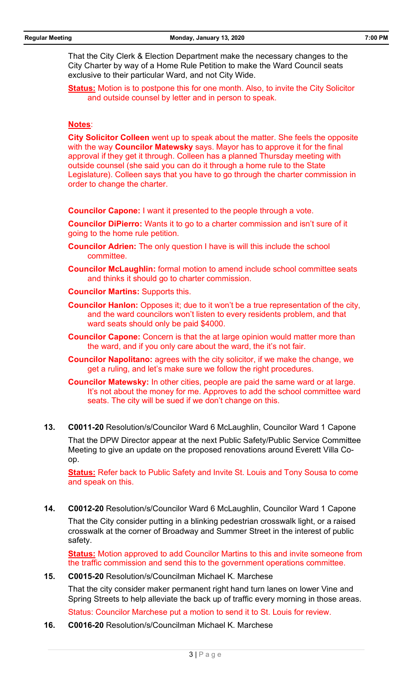That the City Clerk & Election Department make the necessary changes to the City Charter by way of a Home Rule Petition to make the Ward Council seats exclusive to their particular Ward, and not City Wide.

**Status:** Motion is to postpone this for one month. Also, to invite the City Solicitor and outside counsel by letter and in person to speak.

# **Notes**:

**City Solicitor Colleen** went up to speak about the matter. She feels the opposite with the way **Councilor Matewsky** says. Mayor has to approve it for the final approval if they get it through. Colleen has a planned Thursday meeting with outside counsel (she said you can do it through a home rule to the State Legislature). Colleen says that you have to go through the charter commission in order to change the charter.

**Councilor Capone:** I want it presented to the people through a vote.

**Councilor DiPierro:** Wants it to go to a charter commission and isn't sure of it going to the home rule petition.

- **Councilor Adrien:** The only question I have is will this include the school committee.
- **Councilor McLaughlin:** formal motion to amend include school committee seats and thinks it should go to charter commission.
- **Councilor Martins:** Supports this.
- **Councilor Hanlon:** Opposes it; due to it won't be a true representation of the city, and the ward councilors won't listen to every residents problem, and that ward seats should only be paid \$4000.
- **Councilor Capone:** Concern is that the at large opinion would matter more than the ward, and if you only care about the ward, the it's not fair.
- **Councilor Napolitano:** agrees with the city solicitor, if we make the change, we get a ruling, and let's make sure we follow the right procedures.

**Councilor Matewsky:** In other cities, people are paid the same ward or at large. It's not about the money for me. Approves to add the school committee ward seats. The city will be sued if we don't change on this.

**13. C0011-20** Resolution/s/Councilor Ward 6 McLaughlin, Councilor Ward 1 Capone

That the DPW Director appear at the next Public Safety/Public Service Committee Meeting to give an update on the proposed renovations around Everett Villa Coop.

**Status:** Refer back to Public Safety and Invite St. Louis and Tony Sousa to come and speak on this.

**14. C0012-20** Resolution/s/Councilor Ward 6 McLaughlin, Councilor Ward 1 Capone

That the City consider putting in a blinking pedestrian crosswalk light, or a raised crosswalk at the corner of Broadway and Summer Street in the interest of public safety.

**Status:** Motion approved to add Councilor Martins to this and invite someone from the traffic commission and send this to the government operations committee.

# **15. C0015-20** Resolution/s/Councilman Michael K. Marchese

That the city consider maker permanent right hand turn lanes on lower Vine and Spring Streets to help alleviate the back up of traffic every morning in those areas.

Status: Councilor Marchese put a motion to send it to St. Louis for review.

**16. C0016-20** Resolution/s/Councilman Michael K. Marchese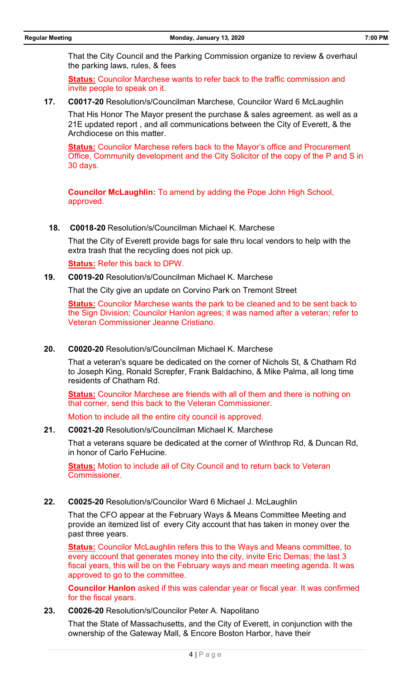That the City Council and the Parking Commission organize to review & overhaul the parking laws, rules, & fees

**Status:** Councilor Marchese wants to refer back to the traffic commission and invite people to speak on it.

**17. C0017-20** Resolution/s/Councilman Marchese, Councilor Ward 6 McLaughlin

That His Honor The Mayor present the purchase & sales agreement. as well as a 21E updated report , and all communications between the City of Everett, & the Archdiocese on this matter.

**Status:** Councilor Marchese refers back to the Mayor's office and Procurement Office, Community development and the City Solicitor of the copy of the P and S in 30 days.

**Councilor McLaughlin:** To amend by adding the Pope John High School, approved.

**18. C0018-20** Resolution/s/Councilman Michael K. Marchese

That the City of Everett provide bags for sale thru local vendors to help with the extra trash that the recycling does not pick up.

**Status:** Refer this back to DPW.

**19. C0019-20** Resolution/s/Councilman Michael K. Marchese

That the City give an update on Corvino Park on Tremont Street

**Status:** Councilor Marchese wants the park to be cleaned and to be sent back to the Sign Division; Councilor Hanlon agrees; it was named after a veteran; refer to Veteran Commissioner Jeanne Cristiano.

#### **20. C0020-20** Resolution/s/Councilman Michael K. Marchese

That a veteran's square be dedicated on the corner of Nichols St, & Chatham Rd to Joseph King, Ronald Screpfer, Frank Baldachino, & Mike Palma, all long time residents of Chatham Rd.

**Status:** Councilor Marchese are friends with all of them and there is nothing on that corner, send this back to the Veteran Commissioner.

Motion to include all the entire city council is approved.

# **21. C0021-20** Resolution/s/Councilman Michael K. Marchese

That a veterans square be dedicated at the corner of Winthrop Rd, & Duncan Rd, in honor of Carlo FeHucine.

**Status:** Motion to include all of City Council and to return back to Veteran Commissioner.

### **22. C0025-20** Resolution/s/Councilor Ward 6 Michael J. McLaughlin

That the CFO appear at the February Ways & Means Committee Meeting and provide an itemized list of every City account that has taken in money over the past three years.

**Status:** Councilor McLaughlin refers this to the Ways and Means committee, to every account that generates money into the city, invite Eric Demas; the last 3 fiscal years, this will be on the February ways and mean meeting agenda. It was approved to go to the committee.

**Councilor Hanlon** asked if this was calendar year or fiscal year. It was confirmed for the fiscal years.

**23. C0026-20** Resolution/s/Councilor Peter A. Napolitano

That the State of Massachusetts, and the City of Everett, in conjunction with the ownership of the Gateway Mall, & Encore Boston Harbor, have their